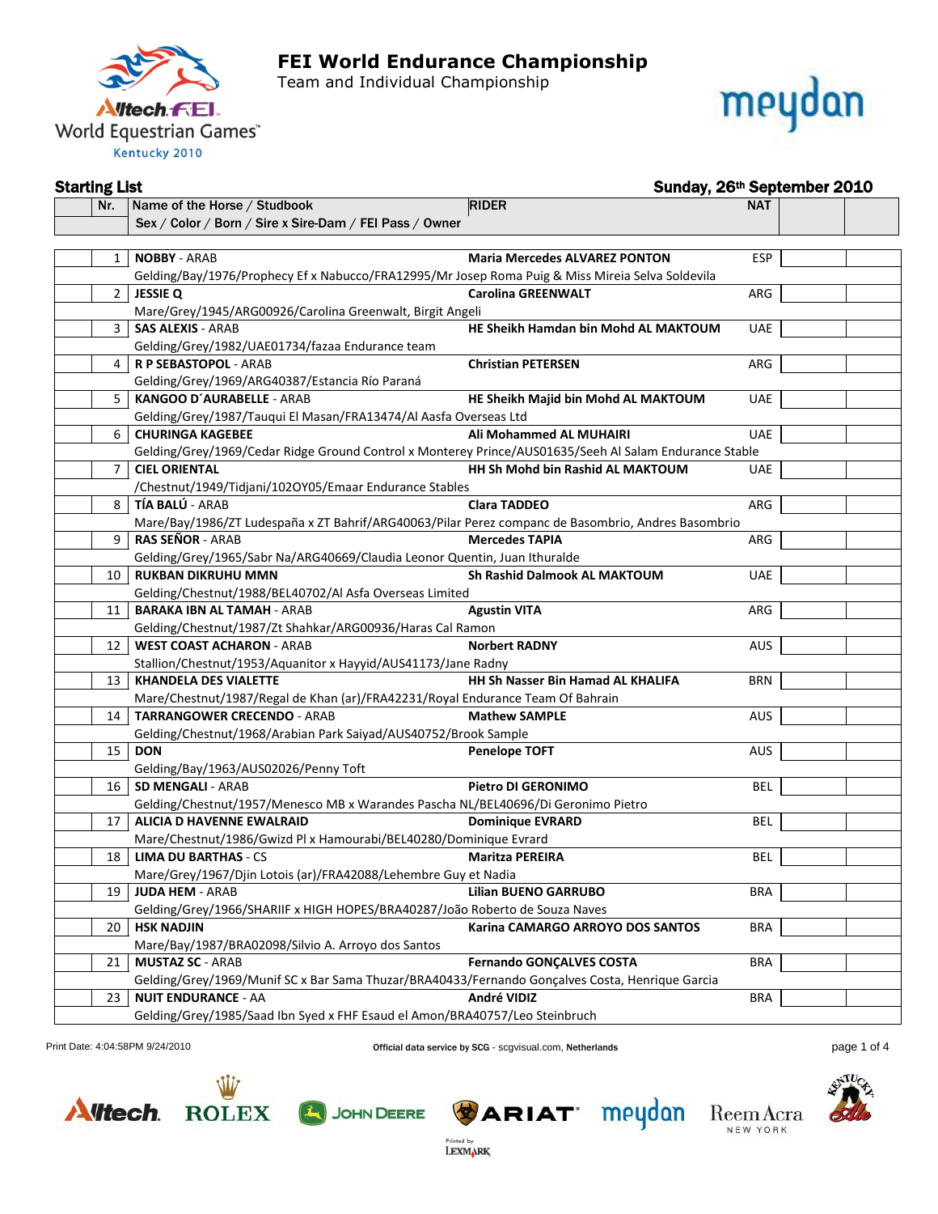

Team and Individual Championship



#### Starting List Sunday, 26<sup>th</sup> September 2010 Nr. Name of the Horse / Studbook RIDER NAT Sex / Color / Born / Sire x Sire-Dam / FEI Pass / Owner 1 **NOBBY** - ARAB **Maria Mercedes ALVAREZ PONTON** ESP Gelding/Bay/1976/Prophecy Ef x Nabucco/FRA12995/Mr Josep Roma Puig & Miss Mireia Selva Soldevila 2 **JESSIE Q Carolina GREENWALT** ARG Mare/Grey/1945/ARG00926/Carolina Greenwalt, Birgit Angeli 3 **SAS ALEXIS** - ARAB **HE Sheikh Hamdan bin Mohd AL MAKTOUM** UAE Gelding/Grey/1982/UAE01734/fazaa Endurance team 4 **R P SEBASTOPOL** - ARAB **Christian PETERSEN** ARG Gelding/Grey/1969/ARG40387/Estancia Río Paraná 5 **KANGOO D´AURABELLE** - ARAB **HE Sheikh Majid bin Mohd AL MAKTOUM** UAE Gelding/Grey/1987/Tauqui El Masan/FRA13474/Al Aasfa Overseas Ltd 6 **CHURINGA KAGEBEE Ali Mohammed AL MUHAIRI** UAE Gelding/Grey/1969/Cedar Ridge Ground Control x Monterey Prince/AUS01635/Seeh Al Salam Endurance Stable 7 **CIEL ORIENTAL HH Sh Mohd bin Rashid AL MAKTOUM** UAE /Chestnut/1949/Tidjani/102OY05/Emaar Endurance Stables 8 **TÍA BALÚ** - ARAB **Clara TADDEO** ARG Mare/Bay/1986/ZT Ludespaña x ZT Bahrif/ARG40063/Pilar Perez companc de Basombrio, Andres Basombrio 9 **RAS SEÑOR** - ARAB **Mercedes TAPIA** ARG Gelding/Grey/1965/Sabr Na/ARG40669/Claudia Leonor Quentin, Juan Ithuralde 10 **RUKBAN DIKRUHU MMN Sh Rashid Dalmook AL MAKTOUM** UAE Gelding/Chestnut/1988/BEL40702/Al Asfa Overseas Limited 11 **BARAKA IBN AL TAMAH** - ARAB **Agustin VITA** ARG Gelding/Chestnut/1987/Zt Shahkar/ARG00936/Haras Cal Ramon 12 **WEST COAST ACHARON** - ARAB **Norbert RADNY** AUS Stallion/Chestnut/1953/Aquanitor x Hayyid/AUS41173/Jane Radny 13 **KHANDELA DES VIALETTE HH Sh Nasser Bin Hamad AL KHALIFA** BRN Mare/Chestnut/1987/Regal de Khan (ar)/FRA42231/Royal Endurance Team Of Bahrain 14 **TARRANGOWER CRECENDO** - ARAB **Mathew SAMPLE** AUS Gelding/Chestnut/1968/Arabian Park Saiyad/AUS40752/Brook Sample 15 **DON Penelope TOFT** AUS Gelding/Bay/1963/AUS02026/Penny Toft 16 **SD MENGALI** - ARAB **Pietro DI GERONIMO** BEL Gelding/Chestnut/1957/Menesco MB x Warandes Pascha NL/BEL40696/Di Geronimo Pietro 17 **ALICIA D HAVENNE EWALRAID Dominique EVRARD** BEL Mare/Chestnut/1986/Gwizd Pl x Hamourabi/BEL40280/Dominique Evrard 18 **LIMA DU BARTHAS** - CS **Maritza PEREIRA** BEL Mare/Grey/1967/Djin Lotois (ar)/FRA42088/Lehembre Guy et Nadia 19 **JUDA HEM** - ARAB **Lilian BUENO GARRUBO** BRA Gelding/Grey/1966/SHARIIF x HIGH HOPES/BRA40287/João Roberto de Souza Naves 20 **HSK NADJIN Karina CAMARGO ARROYO DOS SANTOS** BRA Mare/Bay/1987/BRA02098/Silvio A. Arroyo dos Santos 21 **MUSTAZ SC** - ARAB **Fernando GONÇALVES COSTA** BRA Gelding/Grey/1969/Munif SC x Bar Sama Thuzar/BRA40433/Fernando Gonçalves Costa, Henrique Garcia 23 **NUIT ENDURANCE** - AA **André VIDIZ** BRA Gelding/Grey/1985/Saad Ibn Syed x FHF Esaud el Amon/BRA40757/Leo Steinbruch

Print Date: 4:04:58PM 9/24/2010 **Contain the Container of Container SCG** - scale of Age of the Date: 4:04:58PM 9/24/2010 **Page 1 of 4** 

**LEXMARK** 







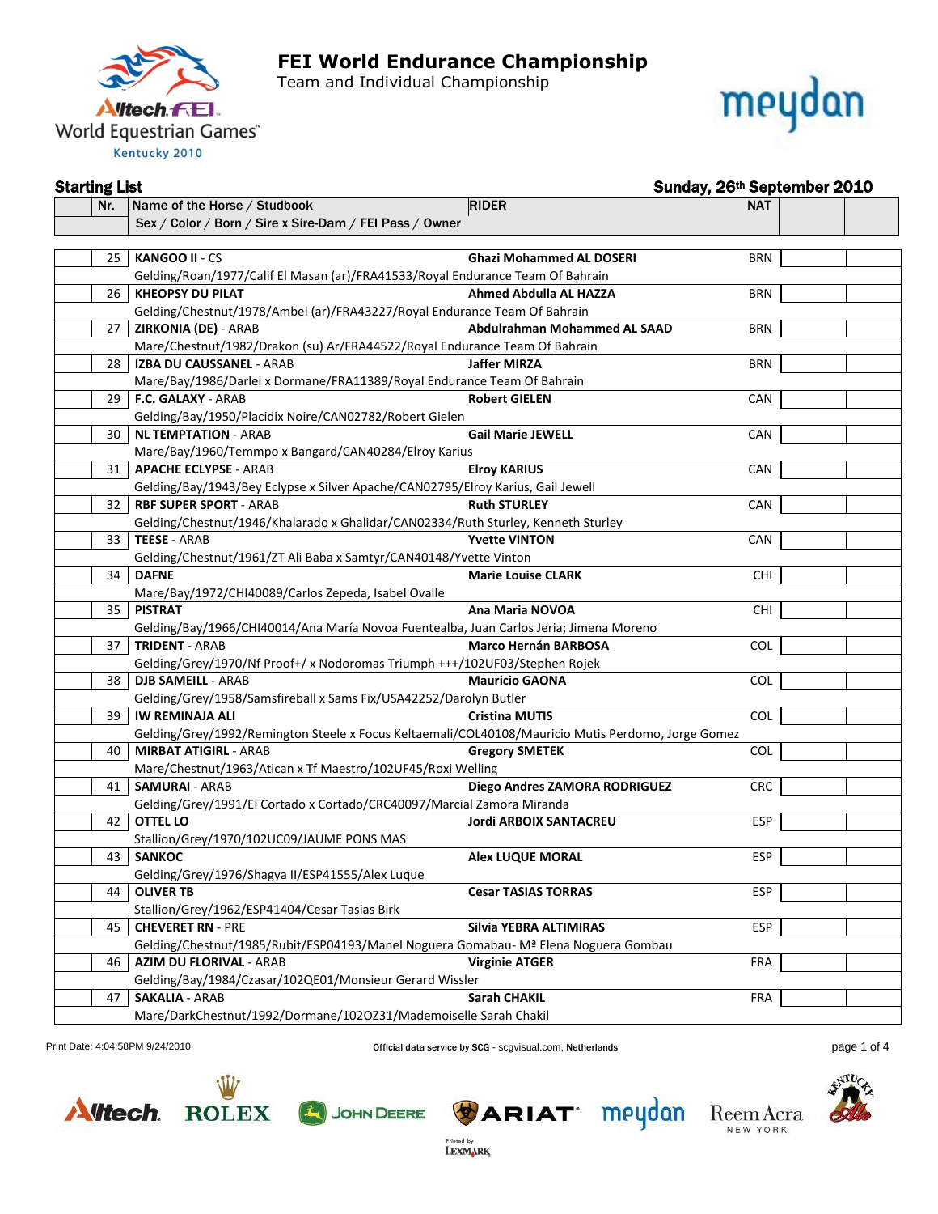

Team and Individual Championship



#### Starting List Sunday, 26th September 2010

| Nr. | Name of the Horse / Studbook                                                                       | <b>RIDER</b>                    | <b>NAT</b> |  |
|-----|----------------------------------------------------------------------------------------------------|---------------------------------|------------|--|
|     | Sex / Color / Born / Sire x Sire-Dam / FEI Pass / Owner                                            |                                 |            |  |
|     |                                                                                                    |                                 |            |  |
|     | 25   KANGOO II - CS                                                                                | <b>Ghazi Mohammed AL DOSERI</b> | <b>BRN</b> |  |
|     | Gelding/Roan/1977/Calif El Masan (ar)/FRA41533/Royal Endurance Team Of Bahrain                     |                                 |            |  |
| 26  | <b>KHEOPSY DU PILAT</b>                                                                            | <b>Ahmed Abdulla AL HAZZA</b>   | <b>BRN</b> |  |
|     | Gelding/Chestnut/1978/Ambel (ar)/FRA43227/Royal Endurance Team Of Bahrain                          |                                 |            |  |
| 27  | <b>ZIRKONIA (DE) - ARAB</b>                                                                        | Abdulrahman Mohammed AL SAAD    | <b>BRN</b> |  |
|     | Mare/Chestnut/1982/Drakon (su) Ar/FRA44522/Royal Endurance Team Of Bahrain                         |                                 |            |  |
| 28  | IZBA DU CAUSSANEL - ARAB                                                                           | <b>Jaffer MIRZA</b>             | <b>BRN</b> |  |
|     | Mare/Bay/1986/Darlei x Dormane/FRA11389/Royal Endurance Team Of Bahrain                            |                                 |            |  |
| 29  | F.C. GALAXY - ARAB                                                                                 | <b>Robert GIELEN</b>            | <b>CAN</b> |  |
|     | Gelding/Bay/1950/Placidix Noire/CAN02782/Robert Gielen                                             |                                 |            |  |
| 30  | NL TEMPTATION - ARAB                                                                               | <b>Gail Marie JEWELL</b>        | <b>CAN</b> |  |
|     | Mare/Bay/1960/Temmpo x Bangard/CAN40284/Elroy Karius                                               |                                 |            |  |
| 31  | <b>APACHE ECLYPSE - ARAB</b>                                                                       | <b>Elroy KARIUS</b>             | <b>CAN</b> |  |
|     | Gelding/Bay/1943/Bey Eclypse x Silver Apache/CAN02795/Elroy Karius, Gail Jewell                    |                                 |            |  |
| 32  | <b>RBF SUPER SPORT - ARAB</b>                                                                      | <b>Ruth STURLEY</b>             | CAN        |  |
|     | Gelding/Chestnut/1946/Khalarado x Ghalidar/CAN02334/Ruth Sturley, Kenneth Sturley                  |                                 |            |  |
|     | 33   TEESE - ARAB                                                                                  | <b>Yvette VINTON</b>            | CAN        |  |
|     | Gelding/Chestnut/1961/ZT Ali Baba x Samtyr/CAN40148/Yvette Vinton                                  |                                 |            |  |
| 34  | <b>DAFNE</b>                                                                                       | <b>Marie Louise CLARK</b>       | <b>CHI</b> |  |
|     | Mare/Bay/1972/CHI40089/Carlos Zepeda, Isabel Ovalle                                                |                                 |            |  |
| 35  | <b>PISTRAT</b>                                                                                     | Ana Maria NOVOA                 | <b>CHI</b> |  |
|     | Gelding/Bay/1966/CHI40014/Ana María Novoa Fuentealba, Juan Carlos Jeria; Jimena Moreno             |                                 |            |  |
| 37  | <b>TRIDENT - ARAB</b>                                                                              | <b>Marco Hernán BARBOSA</b>     | COL        |  |
|     | Gelding/Grey/1970/Nf Proof+/ x Nodoromas Triumph +++/102UF03/Stephen Rojek                         |                                 |            |  |
| 38  | <b>DJB SAMEILL - ARAB</b>                                                                          | <b>Mauricio GAONA</b>           | <b>COL</b> |  |
|     | Gelding/Grey/1958/Samsfireball x Sams Fix/USA42252/Darolyn Butler                                  |                                 |            |  |
| 39  | <b>IW REMINAJA ALI</b>                                                                             | <b>Cristina MUTIS</b>           | COL        |  |
|     | Gelding/Grey/1992/Remington Steele x Focus Keltaemali/COL40108/Mauricio Mutis Perdomo, Jorge Gomez |                                 |            |  |
| 40  | <b>MIRBAT ATIGIRL - ARAB</b>                                                                       | <b>Gregory SMETEK</b>           | <b>COL</b> |  |
|     | Mare/Chestnut/1963/Atican x Tf Maestro/102UF45/Roxi Welling                                        |                                 |            |  |
| 41  | <b>SAMURAI - ARAB</b>                                                                              | Diego Andres ZAMORA RODRIGUEZ   | <b>CRC</b> |  |
|     | Gelding/Grey/1991/El Cortado x Cortado/CRC40097/Marcial Zamora Miranda                             |                                 |            |  |
| 42  | <b>OTTEL LO</b>                                                                                    | <b>Jordi ARBOIX SANTACREU</b>   | <b>ESP</b> |  |
|     | Stallion/Grey/1970/102UC09/JAUME PONS MAS                                                          |                                 |            |  |
| 43  | <b>SANKOC</b>                                                                                      | <b>Alex LUQUE MORAL</b>         | <b>ESP</b> |  |
|     | Gelding/Grey/1976/Shagya II/ESP41555/Alex Luque                                                    |                                 |            |  |
|     | 44   OLIVER TB                                                                                     | <b>Cesar TASIAS TORRAS</b>      | <b>ESP</b> |  |
|     | Stallion/Grey/1962/ESP41404/Cesar Tasias Birk                                                      |                                 |            |  |
| 45  | <b>CHEVERET RN - PRE</b>                                                                           | Silvia YEBRA ALTIMIRAS          | <b>ESP</b> |  |
|     | Gelding/Chestnut/1985/Rubit/ESP04193/Manel Noguera Gomabau-M <sup>a</sup> Elena Noguera Gombau     |                                 |            |  |
| 46  | <b>AZIM DU FLORIVAL - ARAB</b>                                                                     | <b>Virginie ATGER</b>           | <b>FRA</b> |  |
|     | Gelding/Bay/1984/Czasar/102QE01/Monsieur Gerard Wissler                                            |                                 |            |  |
| 47  | <b>SAKALIA - ARAB</b>                                                                              | <b>Sarah CHAKIL</b>             | <b>FRA</b> |  |
|     | Mare/DarkChestnut/1992/Dormane/1020Z31/Mademoiselle Sarah Chakil                                   |                                 |            |  |

Print Date: 4:04:58PM 9/24/2010 **Company of Example 2018** Official data service by SCG - scgvisual.com, Netherlands **page 1 of 4** and the page 1 of 4



**ROLEX** 







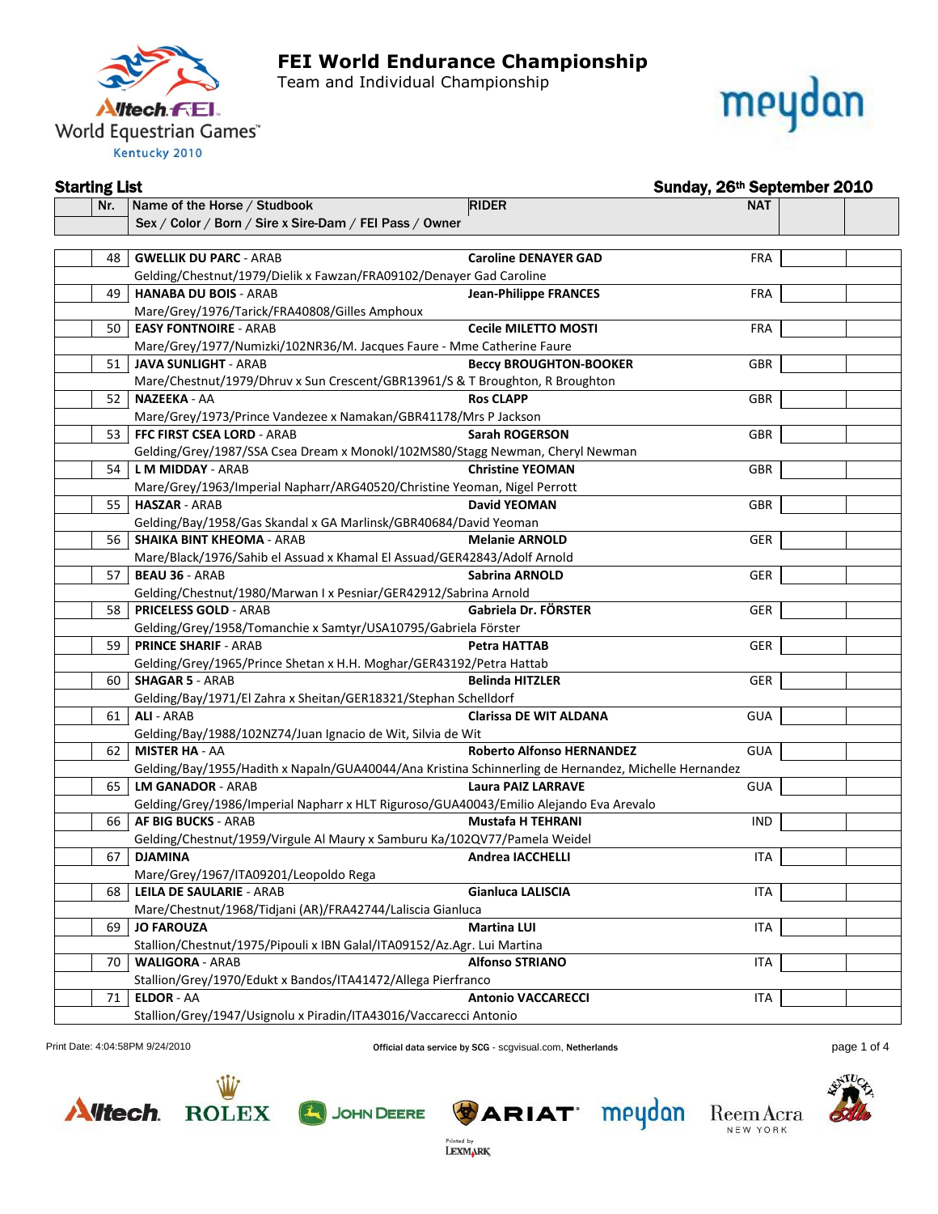

Team and Individual Championship



#### Starting List Sunday, 26th September 2010

| Nr. | <b>RIDER</b><br>Name of the Horse / Studbook                                                         | <b>NAT</b>                                     |  |
|-----|------------------------------------------------------------------------------------------------------|------------------------------------------------|--|
|     | Sex / Color / Born / Sire x Sire-Dam / FEI Pass / Owner                                              |                                                |  |
|     |                                                                                                      |                                                |  |
|     | 48   GWELLIK DU PARC - ARAB                                                                          | <b>Caroline DENAYER GAD</b><br><b>FRA</b>      |  |
|     | Gelding/Chestnut/1979/Dielik x Fawzan/FRA09102/Denayer Gad Caroline                                  |                                                |  |
| 49  | <b>HANABA DU BOIS - ARAB</b>                                                                         | <b>Jean-Philippe FRANCES</b><br><b>FRA</b>     |  |
|     | Mare/Grey/1976/Tarick/FRA40808/Gilles Amphoux                                                        |                                                |  |
| 50  | <b>EASY FONTNOIRE - ARAB</b>                                                                         | <b>Cecile MILETTO MOSTI</b><br><b>FRA</b>      |  |
|     | Mare/Grey/1977/Numizki/102NR36/M. Jacques Faure - Mme Catherine Faure                                |                                                |  |
| 51  | <b>JAVA SUNLIGHT - ARAB</b>                                                                          | <b>Beccy BROUGHTON-BOOKER</b><br><b>GBR</b>    |  |
|     | Mare/Chestnut/1979/Dhruv x Sun Crescent/GBR13961/S & T Broughton, R Broughton                        |                                                |  |
| 52  | NAZEEKA - AA                                                                                         | <b>Ros CLAPP</b><br><b>GBR</b>                 |  |
|     | Mare/Grey/1973/Prince Vandezee x Namakan/GBR41178/Mrs P Jackson                                      |                                                |  |
| 53  | FFC FIRST CSEA LORD - ARAB                                                                           | <b>Sarah ROGERSON</b><br><b>GBR</b>            |  |
|     | Gelding/Grey/1987/SSA Csea Dream x Monokl/102MS80/Stagg Newman, Cheryl Newman                        |                                                |  |
| 54  | L M MIDDAY - ARAB                                                                                    | <b>Christine YEOMAN</b><br><b>GBR</b>          |  |
|     | Mare/Grey/1963/Imperial Napharr/ARG40520/Christine Yeoman, Nigel Perrott                             |                                                |  |
| 55  | <b>HASZAR - ARAB</b>                                                                                 | <b>David YEOMAN</b><br><b>GBR</b>              |  |
|     | Gelding/Bay/1958/Gas Skandal x GA Marlinsk/GBR40684/David Yeoman                                     |                                                |  |
| 56  | <b>SHAIKA BINT KHEOMA - ARAB</b>                                                                     | <b>GER</b><br><b>Melanie ARNOLD</b>            |  |
|     | Mare/Black/1976/Sahib el Assuad x Khamal El Assuad/GER42843/Adolf Arnold                             |                                                |  |
| 57  | <b>BEAU 36 - ARAB</b>                                                                                | <b>GER</b><br><b>Sabrina ARNOLD</b>            |  |
|     | Gelding/Chestnut/1980/Marwan I x Pesniar/GER42912/Sabrina Arnold                                     |                                                |  |
| 58  | <b>PRICELESS GOLD - ARAB</b>                                                                         | Gabriela Dr. FÖRSTER<br><b>GER</b>             |  |
|     | Gelding/Grey/1958/Tomanchie x Samtyr/USA10795/Gabriela Förster                                       |                                                |  |
| 59  | <b>PRINCE SHARIF - ARAB</b>                                                                          | Petra HATTAB<br><b>GER</b>                     |  |
|     | Gelding/Grey/1965/Prince Shetan x H.H. Moghar/GER43192/Petra Hattab                                  |                                                |  |
| 60  | <b>SHAGAR 5 - ARAB</b>                                                                               | <b>Belinda HITZLER</b><br><b>GER</b>           |  |
|     | Gelding/Bay/1971/El Zahra x Sheitan/GER18321/Stephan Schelldorf                                      |                                                |  |
| 61  | <b>ALI - ARAB</b>                                                                                    | <b>Clarissa DE WIT ALDANA</b><br><b>GUA</b>    |  |
|     | Gelding/Bay/1988/102NZ74/Juan Ignacio de Wit, Silvia de Wit                                          |                                                |  |
| 62  | <b>MISTER HA - AA</b>                                                                                | <b>Roberto Alfonso HERNANDEZ</b><br><b>GUA</b> |  |
|     | Gelding/Bay/1955/Hadith x Napaln/GUA40044/Ana Kristina Schinnerling de Hernandez, Michelle Hernandez |                                                |  |
| 65  | <b>LM GANADOR - ARAB</b>                                                                             | <b>Laura PAIZ LARRAVE</b><br><b>GUA</b>        |  |
|     | Gelding/Grey/1986/Imperial Napharr x HLT Riguroso/GUA40043/Emilio Alejando Eva Arevalo               |                                                |  |
| 66  | <b>AF BIG BUCKS - ARAB</b>                                                                           | <b>Mustafa H TEHRANI</b><br><b>IND</b>         |  |
|     | Gelding/Chestnut/1959/Virgule Al Maury x Samburu Ka/102QV77/Pamela Weidel                            |                                                |  |
| 67  | <b>DJAMINA</b>                                                                                       | <b>ITA</b><br><b>Andrea IACCHELLI</b>          |  |
|     | Mare/Grey/1967/ITA09201/Leopoldo Rega                                                                |                                                |  |
|     | 68   LEILA DE SAULARIE - ARAB                                                                        | Gianluca LALISCIA<br><b>ITA</b>                |  |
|     | Mare/Chestnut/1968/Tidjani (AR)/FRA42744/Laliscia Gianluca                                           |                                                |  |
| 69  | <b>JO FAROUZA</b>                                                                                    | <b>Martina LUI</b><br>ITA                      |  |
|     | Stallion/Chestnut/1975/Pipouli x IBN Galal/ITA09152/Az.Agr. Lui Martina                              |                                                |  |
| 70  | <b>WALIGORA - ARAB</b>                                                                               | <b>Alfonso STRIANO</b><br><b>ITA</b>           |  |
|     | Stallion/Grey/1970/Edukt x Bandos/ITA41472/Allega Pierfranco                                         |                                                |  |
| 71  | <b>ELDOR - AA</b>                                                                                    | <b>Antonio VACCARECCI</b><br><b>ITA</b>        |  |
|     | Stallion/Grey/1947/Usignolu x Piradin/ITA43016/Vaccarecci Antonio                                    |                                                |  |

Print Date: 4:04:58PM 9/24/2010 **Company of Example 2018** Official data service by SCG - scgvisual.com, Netherlands **page 1 of 4** and the page 1 of 4









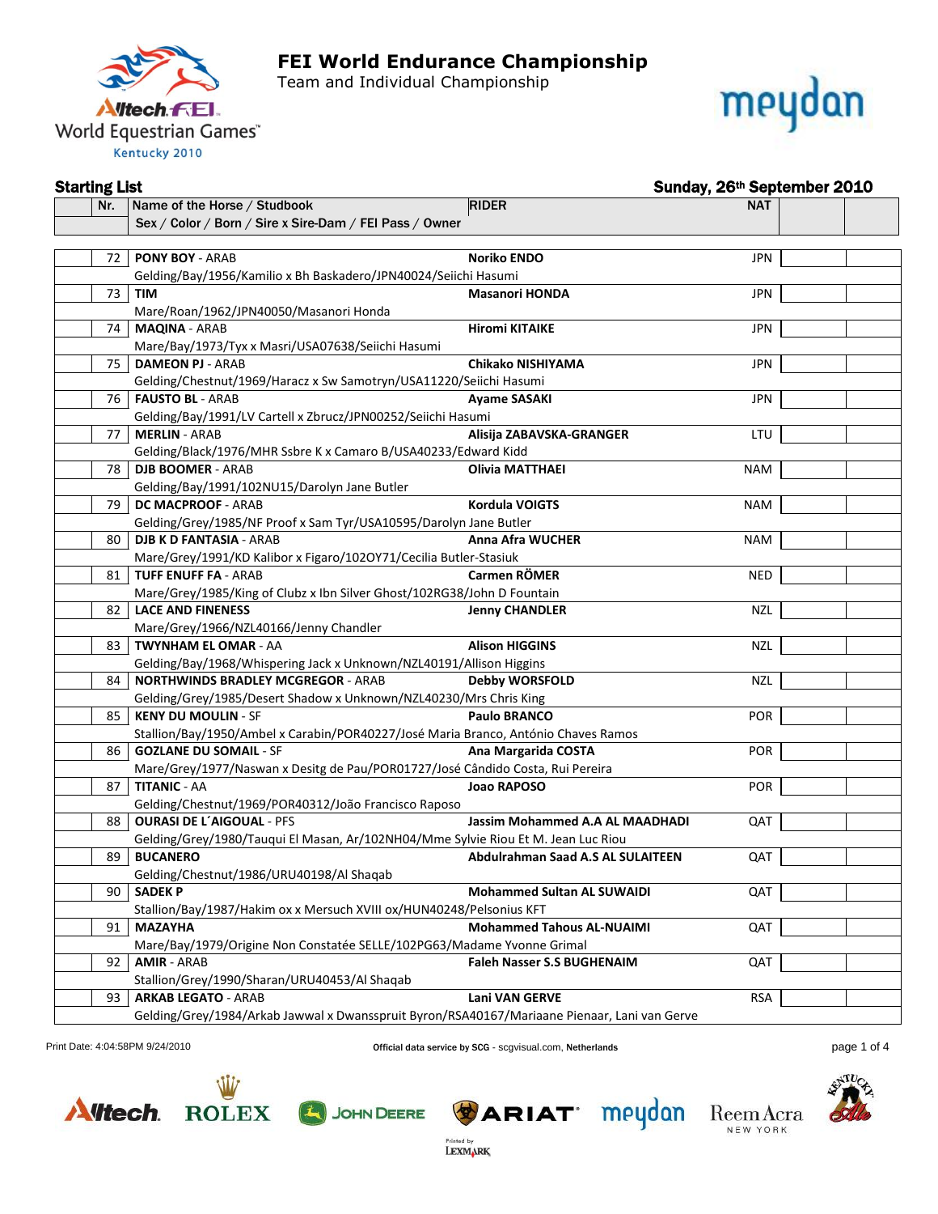

Team and Individual Championship



#### Starting List Sunday, 26th September 2010

| Nr. | Name of the Horse / Studbook                                                                 | <b>RIDER</b>                      | <b>NAT</b> |  |
|-----|----------------------------------------------------------------------------------------------|-----------------------------------|------------|--|
|     | Sex / Color / Born / Sire x Sire-Dam / FEI Pass / Owner                                      |                                   |            |  |
|     |                                                                                              |                                   |            |  |
|     | 72   PONY BOY - ARAB                                                                         | <b>Noriko ENDO</b>                | <b>JPN</b> |  |
|     | Gelding/Bay/1956/Kamilio x Bh Baskadero/JPN40024/Seiichi Hasumi                              |                                   |            |  |
| 73  | TIM                                                                                          | <b>Masanori HONDA</b>             | <b>JPN</b> |  |
|     | Mare/Roan/1962/JPN40050/Masanori Honda                                                       |                                   |            |  |
| 74  | <b>MAQINA - ARAB</b>                                                                         | <b>Hiromi KITAIKE</b>             | <b>JPN</b> |  |
|     | Mare/Bay/1973/Tyx x Masri/USA07638/Seiichi Hasumi                                            |                                   |            |  |
| 75  | <b>DAMEON PJ - ARAB</b>                                                                      | Chikako NISHIYAMA                 | <b>JPN</b> |  |
|     | Gelding/Chestnut/1969/Haracz x Sw Samotryn/USA11220/Seiichi Hasumi                           |                                   |            |  |
| 76  | <b>FAUSTO BL - ARAB</b>                                                                      | <b>Ayame SASAKI</b>               | <b>JPN</b> |  |
|     | Gelding/Bay/1991/LV Cartell x Zbrucz/JPN00252/Seiichi Hasumi                                 |                                   |            |  |
| 77  | <b>MERLIN - ARAB</b>                                                                         | Alisija ZABAVSKA-GRANGER          | LTU        |  |
|     | Gelding/Black/1976/MHR Ssbre K x Camaro B/USA40233/Edward Kidd                               |                                   |            |  |
| 78  | <b>DJB BOOMER - ARAB</b>                                                                     | <b>Olivia MATTHAEI</b>            | <b>NAM</b> |  |
|     | Gelding/Bay/1991/102NU15/Darolyn Jane Butler                                                 |                                   |            |  |
| 79  | DC MACPROOF - ARAB                                                                           | Kordula VOIGTS                    | <b>NAM</b> |  |
|     | Gelding/Grey/1985/NF Proof x Sam Tyr/USA10595/Darolyn Jane Butler                            |                                   |            |  |
| 80  | <b>DJB K D FANTASIA - ARAB</b>                                                               | Anna Afra WUCHER                  | <b>NAM</b> |  |
|     | Mare/Grey/1991/KD Kalibor x Figaro/102OY71/Cecilia Butler-Stasiuk                            |                                   |            |  |
| 81  | <b>TUFF ENUFF FA - ARAB</b>                                                                  | Carmen RÖMER                      | <b>NED</b> |  |
|     | Mare/Grey/1985/King of Clubz x Ibn Silver Ghost/102RG38/John D Fountain                      |                                   |            |  |
| 82  | <b>LACE AND FINENESS</b>                                                                     | <b>Jenny CHANDLER</b>             | NZL        |  |
|     | Mare/Grey/1966/NZL40166/Jenny Chandler                                                       |                                   |            |  |
| 83  | <b>TWYNHAM EL OMAR - AA</b>                                                                  | <b>Alison HIGGINS</b>             | <b>NZL</b> |  |
|     | Gelding/Bay/1968/Whispering Jack x Unknown/NZL40191/Allison Higgins                          |                                   |            |  |
| 84  | <b>NORTHWINDS BRADLEY MCGREGOR - ARAB</b>                                                    | <b>Debby WORSFOLD</b>             | NZL        |  |
|     | Gelding/Grey/1985/Desert Shadow x Unknown/NZL40230/Mrs Chris King                            |                                   |            |  |
| 85  | <b>KENY DU MOULIN - SF</b>                                                                   | <b>Paulo BRANCO</b>               | POR        |  |
|     | Stallion/Bay/1950/Ambel x Carabin/POR40227/José Maria Branco, António Chaves Ramos           |                                   |            |  |
| 86  | <b>GOZLANE DU SOMAIL - SF</b>                                                                | Ana Margarida COSTA               | <b>POR</b> |  |
|     | Mare/Grey/1977/Naswan x Desitg de Pau/POR01727/José Cândido Costa, Rui Pereira               |                                   |            |  |
| 87  | <b>TITANIC - AA</b>                                                                          | Joao RAPOSO                       | <b>POR</b> |  |
|     | Gelding/Chestnut/1969/POR40312/João Francisco Raposo                                         |                                   |            |  |
| 88  | <b>OURASI DE L'AIGOUAL - PFS</b>                                                             | Jassim Mohammed A.A AL MAADHADI   | QAT        |  |
|     | Gelding/Grey/1980/Tauqui El Masan, Ar/102NH04/Mme Sylvie Riou Et M. Jean Luc Riou            |                                   |            |  |
| 89  | <b>BUCANERO</b>                                                                              | Abdulrahman Saad A.S AL SULAITEEN | QAT        |  |
|     | Gelding/Chestnut/1986/URU40198/Al Shaqab                                                     |                                   |            |  |
| 90  | <b>SADEKP</b>                                                                                | <b>Mohammed Sultan AL SUWAIDI</b> | QAT        |  |
|     | Stallion/Bay/1987/Hakim ox x Mersuch XVIII ox/HUN40248/Pelsonius KFT                         |                                   |            |  |
| 91  | <b>MAZAYHA</b>                                                                               | <b>Mohammed Tahous AL-NUAIMI</b>  | QAT        |  |
|     | Mare/Bay/1979/Origine Non Constatée SELLE/102PG63/Madame Yvonne Grimal                       |                                   |            |  |
| 92  | <b>AMIR - ARAB</b>                                                                           | <b>Faleh Nasser S.S BUGHENAIM</b> | QAT        |  |
|     | Stallion/Grey/1990/Sharan/URU40453/Al Shaqab                                                 |                                   |            |  |
| 93  | <b>ARKAB LEGATO - ARAB</b>                                                                   | <b>Lani VAN GERVE</b>             | <b>RSA</b> |  |
|     | Gelding/Grey/1984/Arkab Jawwal x Dwansspruit Byron/RSA40167/Mariaane Pienaar, Lani van Gerve |                                   |            |  |

Print Date: 4:04:58PM 9/24/2010 Official data service by SCG - scgvisual.com, Netherlands page 1 of 4

Printed by<br>LEXMARK